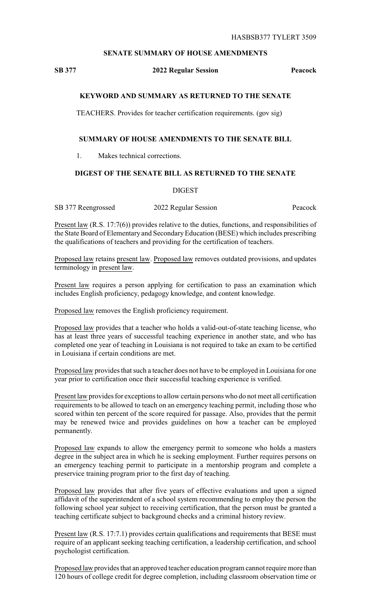## **SENATE SUMMARY OF HOUSE AMENDMENTS**

# **SB 377 2022 Regular Session Peacock**

## **KEYWORD AND SUMMARY AS RETURNED TO THE SENATE**

TEACHERS. Provides for teacher certification requirements. (gov sig)

#### **SUMMARY OF HOUSE AMENDMENTS TO THE SENATE BILL**

1. Makes technical corrections.

#### **DIGEST OF THE SENATE BILL AS RETURNED TO THE SENATE**

**DIGEST** 

SB 377 Reengrossed 2022 Regular Session Peacock

Present law (R.S. 17:7(6)) provides relative to the duties, functions, and responsibilities of the State Board of Elementary and SecondaryEducation (BESE) which includes prescribing the qualifications of teachers and providing for the certification of teachers.

Proposed law retains present law. Proposed law removes outdated provisions, and updates terminology in present law.

Present law requires a person applying for certification to pass an examination which includes English proficiency, pedagogy knowledge, and content knowledge.

Proposed law removes the English proficiency requirement.

Proposed law provides that a teacher who holds a valid-out-of-state teaching license, who has at least three years of successful teaching experience in another state, and who has completed one year of teaching in Louisiana is not required to take an exam to be certified in Louisiana if certain conditions are met.

Proposed law provides that such a teacher does not have to be employed in Louisiana for one year prior to certification once their successful teaching experience is verified.

Present law provides for exceptions to allow certain persons who do not meet all certification requirements to be allowed to teach on an emergency teaching permit, including those who scored within ten percent of the score required for passage. Also, provides that the permit may be renewed twice and provides guidelines on how a teacher can be employed permanently.

Proposed law expands to allow the emergency permit to someone who holds a masters degree in the subject area in which he is seeking employment. Further requires persons on an emergency teaching permit to participate in a mentorship program and complete a preservice training program prior to the first day of teaching.

Proposed law provides that after five years of effective evaluations and upon a signed affidavit of the superintendent of a school system recommending to employ the person the following school year subject to receiving certification, that the person must be granted a teaching certificate subject to background checks and a criminal history review.

Present law (R.S. 17:7.1) provides certain qualifications and requirements that BESE must require of an applicant seeking teaching certification, a leadership certification, and school psychologist certification.

Proposed law provides that an approved teacher education program cannot require more than 120 hours of college credit for degree completion, including classroom observation time or